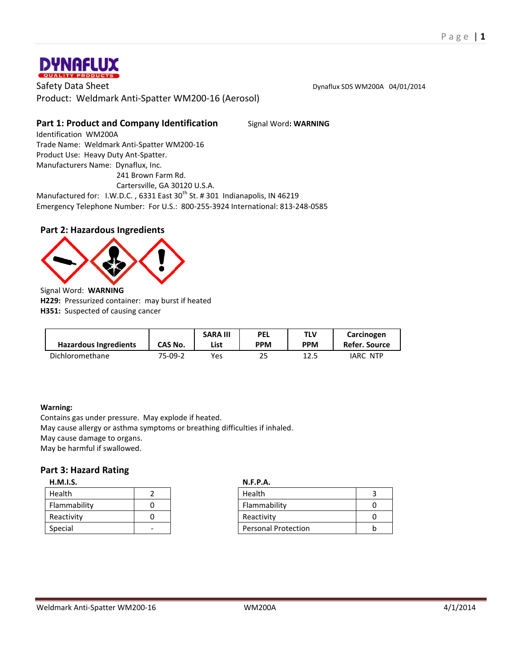

Safety Data Sheet **Distribution Community** Controller Dynaflux SDS WM200A 04/01/2014 Product: Weldmark Anti-Spatter WM200-16 (Aerosol)

# **Part 1: Product and Company Identification** Signal Word: WARNING

Identification WM200A Trade Name: Weldmark Anti-Spatter WM200-16 Product Use: Heavy Duty Ant-Spatter. Manufacturers Name: Dynaflux, Inc. 241 Brown Farm Rd.

Cartersville, GA 30120 U.S.A.

Manufactured for: I.W.D.C., 6331 East 30<sup>th</sup> St. # 301 Indianapolis, IN 46219 Emergency Telephone Number: For U.S.: 800-255-3924 International: 813-248-0585

# **Part 2: Hazardous Ingredients**



**H229:** Pressurized container: may burst if heated **H351:** Suspected of causing cancer

| <b>Hazardous Ingredients</b> | CAS No. | <b>SARA III</b><br>List | <b>PEL</b><br>PPM | TLV<br><b>PPM</b> | Carcinogen<br>Refer. Source |
|------------------------------|---------|-------------------------|-------------------|-------------------|-----------------------------|
| Dichloromethane              | 75-09-2 | Yes                     | 25                | 12.5              | IARC NTP                    |

### **Warning:**

Contains gas under pressure. May explode if heated. May cause allergy or asthma symptoms or breathing difficulties if inhaled. May cause damage to organs. May be harmful if swallowed.

### **Part 3: Hazard Rating**

| H.M.I.S.     |  | N.F.P.A.  |
|--------------|--|-----------|
| Health       |  | Health    |
| Flammability |  | Flammat   |
| Reactivity   |  | Reactivit |
| Special      |  | Personal  |

| H.M.I.S.     |   |  | <b>N.F.P.A.</b>            |  |  |
|--------------|---|--|----------------------------|--|--|
| Health       |   |  | Health                     |  |  |
| Flammability |   |  | Flammability               |  |  |
| Reactivity   |   |  | Reactivity                 |  |  |
| Special      | - |  | <b>Personal Protection</b> |  |  |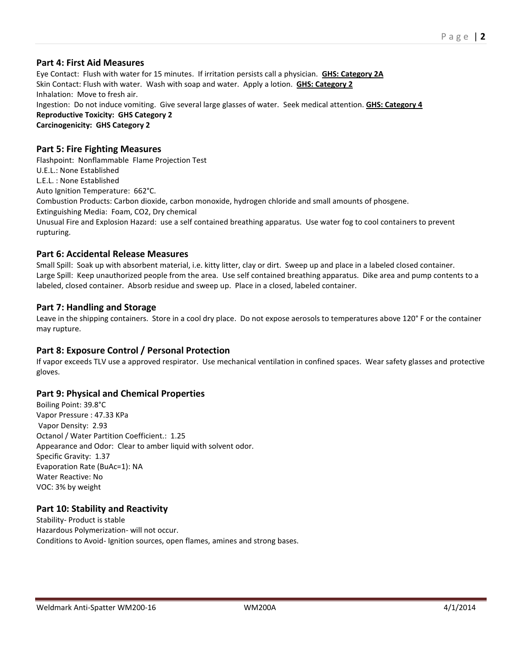### **Part 4: First Aid Measures**

Eye Contact: Flush with water for 15 minutes. If irritation persists call a physician. **GHS: Category 2A** Skin Contact: Flush with water. Wash with soap and water. Apply a lotion. **GHS: Category 2** Inhalation: Move to fresh air. Ingestion: Do not induce vomiting. Give several large glasses of water. Seek medical attention. **GHS: Category 4 Reproductive Toxicity: GHS Category 2 Carcinogenicity: GHS Category 2**

#### **Part 5: Fire Fighting Measures**

Flashpoint: Nonflammable Flame Projection Test U.E.L.: None Established L.E.L. : None Established Auto Ignition Temperature: 662°C. Combustion Products: Carbon dioxide, carbon monoxide, hydrogen chloride and small amounts of phosgene. Extinguishing Media: Foam, CO2, Dry chemical Unusual Fire and Explosion Hazard: use a self contained breathing apparatus. Use water fog to cool containers to prevent rupturing.

#### **Part 6: Accidental Release Measures**

Small Spill: Soak up with absorbent material, i.e. kitty litter, clay or dirt. Sweep up and place in a labeled closed container. Large Spill: Keep unauthorized people from the area. Use self contained breathing apparatus. Dike area and pump contents to a labeled, closed container. Absorb residue and sweep up. Place in a closed, labeled container.

#### **Part 7: Handling and Storage**

Leave in the shipping containers. Store in a cool dry place. Do not expose aerosols to temperatures above 120° F or the container may rupture.

#### **Part 8: Exposure Control / Personal Protection**

If vapor exceeds TLV use a approved respirator. Use mechanical ventilation in confined spaces. Wear safety glasses and protective gloves.

### **Part 9: Physical and Chemical Properties**

Boiling Point: 39.8°C Vapor Pressure : 47.33 KPa Vapor Density: 2.93 Octanol / Water Partition Coefficient.: 1.25 Appearance and Odor: Clear to amber liquid with solvent odor. Specific Gravity: 1.37 Evaporation Rate (BuAc=1): NA Water Reactive: No VOC: 3% by weight

### **Part 10: Stability and Reactivity**

Stability- Product is stable Hazardous Polymerization- will not occur. Conditions to Avoid- Ignition sources, open flames, amines and strong bases.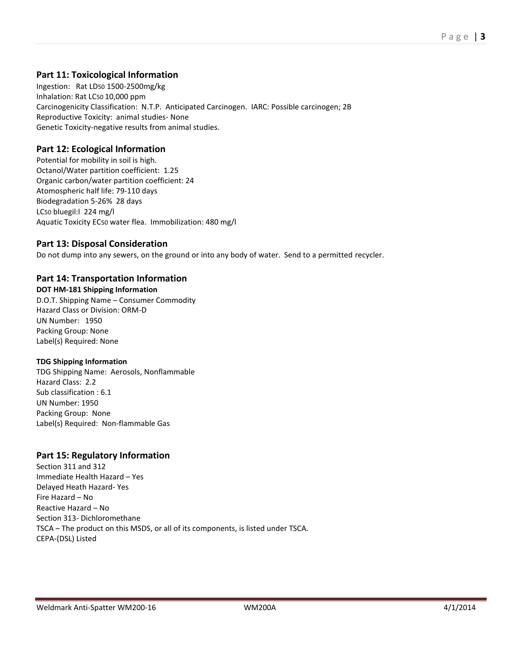## **Part 11: Toxicological Information**

Ingestion: Rat LD50 1500-2500mg/kg Inhalation: Rat LC50 10,000 ppm Carcinogenicity Classification: N.T.P. Anticipated Carcinogen. IARC: Possible carcinogen; 2B Reproductive Toxicity: animal studies- None Genetic Toxicity-negative results from animal studies.

## **Part 12: Ecological Information**

Potential for mobility in soil is high. Octanol/Water partition coefficient: 1.25 Organic carbon/water partition coefficient: 24 Atomospheric half life: 79-110 days Biodegradation 5-26% 28 days LC50 bluegil:l 224 mg/l Aquatic Toxicity EC50 water flea. Immobilization: 480 mg/l

## **Part 13: Disposal Consideration**

Do not dump into any sewers, on the ground or into any body of water. Send to a permitted recycler.

# **Part 14: Transportation Information**

**DOT HM-181 Shipping Information** D.O.T. Shipping Name – Consumer Commodity Hazard Class or Division: ORM-D UN Number: 1950 Packing Group: None Label(s) Required: None

#### **TDG Shipping Information**

TDG Shipping Name: Aerosols, Nonflammable Hazard Class: 2.2 Sub classification : 6.1 UN Number: 1950 Packing Group: None Label(s) Required: Non-flammable Gas

# **Part 15: Regulatory Information**

Section 311 and 312 Immediate Health Hazard – Yes Delayed Heath Hazard- Yes Fire Hazard – No Reactive Hazard – No Section 313- Dichloromethane TSCA – The product on this MSDS, or all of its components, is listed under TSCA. CEPA-(DSL) Listed